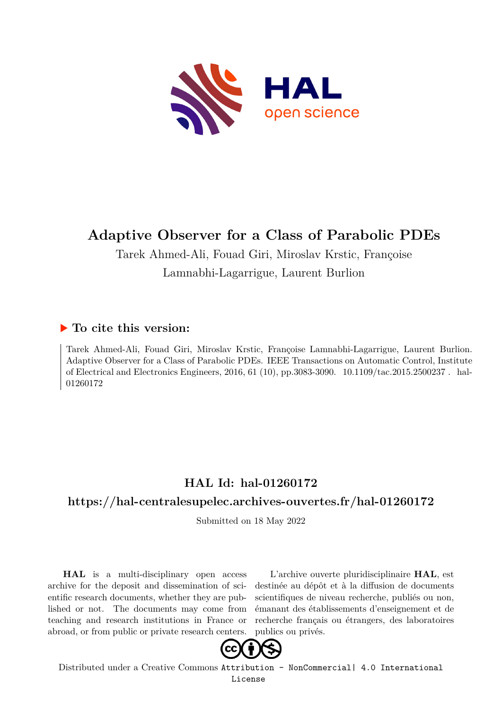

# **Adaptive Observer for a Class of Parabolic PDEs**

Tarek Ahmed-Ali, Fouad Giri, Miroslav Krstic, Françoise Lamnabhi-Lagarrigue, Laurent Burlion

### **To cite this version:**

Tarek Ahmed-Ali, Fouad Giri, Miroslav Krstic, Françoise Lamnabhi-Lagarrigue, Laurent Burlion. Adaptive Observer for a Class of Parabolic PDEs. IEEE Transactions on Automatic Control, Institute of Electrical and Electronics Engineers, 2016, 61 (10), pp.3083-3090.  $10.1109/tac.2015.2500237$ . hal-01260172

### **HAL Id: hal-01260172**

### **<https://hal-centralesupelec.archives-ouvertes.fr/hal-01260172>**

Submitted on 18 May 2022

**HAL** is a multi-disciplinary open access archive for the deposit and dissemination of scientific research documents, whether they are published or not. The documents may come from teaching and research institutions in France or abroad, or from public or private research centers.

L'archive ouverte pluridisciplinaire **HAL**, est destinée au dépôt et à la diffusion de documents scientifiques de niveau recherche, publiés ou non, émanant des établissements d'enseignement et de recherche français ou étrangers, des laboratoires publics ou privés.



Distributed under a Creative Commons [Attribution - NonCommercial| 4.0 International](http://creativecommons.org/licenses/by-nc/4.0/) [License](http://creativecommons.org/licenses/by-nc/4.0/)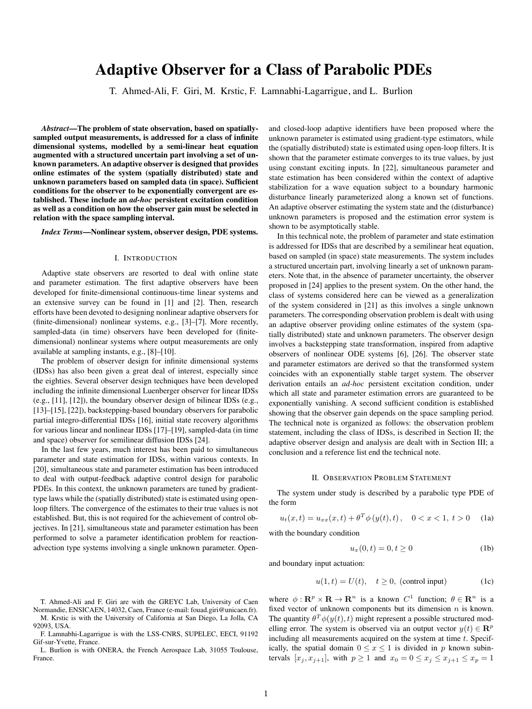## **Adaptive Observer for a Class of Parabolic PDEs**

T. Ahmed-Ali, F. Giri, M. Krstic, F. Lamnabhi-Lagarrigue, and L. Burlion

*Abstract***—The problem of state observation, based on spatiallysampled output measurements, is addressed for a class of infinite dimensional systems, modelled by a semi-linear heat equation augmented with a structured uncertain part involving a set of unknown parameters. An adaptive observer is designed that provides online estimates of the system (spatially distributed) state and unknown parameters based on sampled data (in space). Sufficient conditions for the observer to be exponentially convergent are established. These include an** *ad-hoc* **persistent excitation condition as well as a condition on how the observer gain must be selected in relation with the space sampling interval.**

*Index Terms***—Nonlinear system, observer design, PDE systems.**

#### I. INTRODUCTION

Adaptive state observers are resorted to deal with online state and parameter estimation. The first adaptive observers have been developed for finite-dimensional continuous-time linear systems and an extensive survey can be found in [1] and [2]. Then, research efforts have been devoted to designing nonlinear adaptive observers for (finite-dimensional) nonlinear systems, e.g., [3]–[7]. More recently, sampled-data (in time) observers have been developed for (finitedimensional) nonlinear systems where output measurements are only available at sampling instants, e.g., [8]–[10].

The problem of observer design for infinite dimensional systems (IDSs) has also been given a great deal of interest, especially since the eighties. Several observer design techniques have been developed including the infinite dimensional Luenberger observer for linear IDSs (e.g., [11], [12]), the boundary observer design of bilinear IDSs (e.g., [13]–[15], [22]), backstepping-based boundary observers for parabolic partial integro-differential IDSs [16], initial state recovery algorithms for various linear and nonlinear IDSs [17]–[19], sampled-data (in time and space) observer for semilinear diffusion IDSs [24].

In the last few years, much interest has been paid to simultaneous parameter and state estimation for IDSs, within various contexts. In [20], simultaneous state and parameter estimation has been introduced to deal with output-feedback adaptive control design for parabolic PDEs. In this context, the unknown parameters are tuned by gradienttype laws while the (spatially distributed) state is estimated using openloop filters. The convergence of the estimates to their true values is not established. But, this is not required for the achievement of control objectives. In [21], simultaneous state and parameter estimation has been performed to solve a parameter identification problem for reactionadvection type systems involving a single unknown parameter. Open-

T. Ahmed-Ali and F. Giri are with the GREYC [Lab, University of Cae](mailto: fouad.giri@unicaen.fr)n Normandie, ENSICAEN, 14032, Caen, France (e-mail: fouad.giri@unicaen.fr).

M. Krstic is with the University of California at San Diego, La Jolla, CA 92093, USA.

F. Lamnabhi-Lagarrigue is with the LSS-CNRS, SUPELEC, EECI, 91192 Gif-sur-Yvette, France.

L. Burlion is with ONERA, the French Aerospace Lab, 31055 Toulouse, France.

and closed-loop adaptive identifiers have been proposed where the unknown parameter is estimated using gradient-type estimators, while the (spatially distributed) state is estimated using open-loop filters. It is shown that the parameter estimate converges to its true values, by just using constant exciting inputs. In [22], simultaneous parameter and state estimation has been considered within the context of adaptive stabilization for a wave equation subject to a boundary harmonic disturbance linearly parameterized along a known set of functions. An adaptive observer estimating the system state and the (disturbance) unknown parameters is proposed and the estimation error system is shown to be asymptotically stable.

In this technical note, the problem of parameter and state estimation is addressed for IDSs that are described by a semilinear heat equation, based on sampled (in space) state measurements. The system includes a structured uncertain part, involving linearly a set of unknown parameters. Note that, in the absence of parameter uncertainty, the observer proposed in [24] applies to the present system. On the other hand, the class of systems considered here can be viewed as a generalization of the system considered in [21] as this involves a single unknown parameters. The corresponding observation problem is dealt with using an adaptive observer providing online estimates of the system (spatially distributed) state and unknown parameters. The observer design involves a backstepping state transformation, inspired from adaptive observers of nonlinear ODE systems [6], [26]. The observer state and parameter estimators are derived so that the transformed system coincides with an exponentially stable target system. The observer derivation entails an *ad-hoc* persistent excitation condition, under which all state and parameter estimation errors are guaranteed to be exponentially vanishing. A second sufficient condition is established showing that the observer gain depends on the space sampling period. The technical note is organized as follows: the observation problem statement, including the class of IDSs, is described in Section II; the adaptive observer design and analysis are dealt with in Section III; a conclusion and a reference list end the technical note.

#### II. OBSERVATION PROBLEM STATEMENT

The system under study is described by a parabolic type PDE of the form

$$
u_t(x,t) = u_{xx}(x,t) + \theta^T \phi(y(t),t), \quad 0 < x < 1, \ t > 0 \tag{1a}
$$

with the boundary condition

$$
u_x(0,t) = 0, t \ge 0
$$
 (1b)

and boundary input actuation:

$$
u(1,t) = U(t), \quad t \ge 0, \text{ (control input)} \tag{1c}
$$

where  $\phi : \mathbf{R}^p \times \mathbf{R} \to \mathbf{R}^n$  is a known  $C^1$  function;  $\theta \in \mathbf{R}^n$  is a fixed vector of unknown components but its dimension  $n$  is known. The quantity  $\theta^T \phi(y(t), t)$  might represent a possible structured modelling error. The system is observed via an output vector  $y(t) \in \mathbb{R}^p$ including all measurements acquired on the system at time  $t$ . Specifically, the spatial domain  $0 \le x \le 1$  is divided in p known subintervals  $[x_j, x_{j+1}]$ , with  $p \ge 1$  and  $x_0 = 0 \le x_j \le x_{j+1} \le x_p = 1$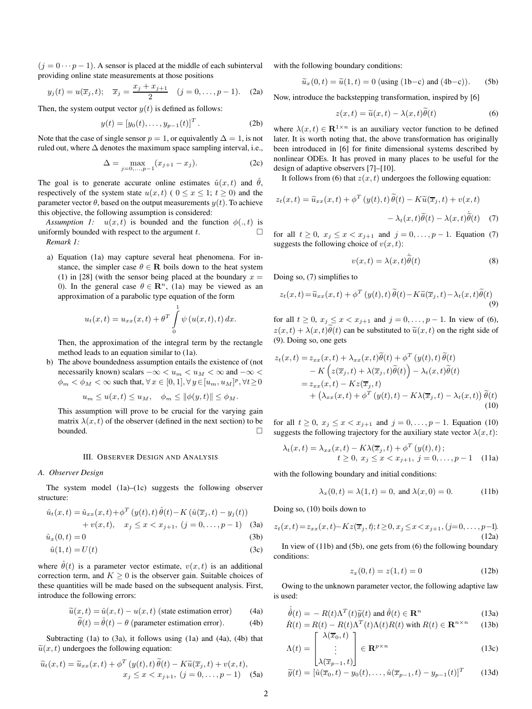$(j = 0 \cdots p-1)$ . A sensor is placed at the middle of each subinterval providing online state measurements at those positions

$$
y_j(t) = u(\overline{x}_j, t); \quad \overline{x}_j = \frac{x_j + x_{j+1}}{2} \quad (j = 0, \dots, p-1).
$$
 (2a)

Then, the system output vector  $y(t)$  is defined as follows:

$$
y(t) = [y_0(t), \dots, y_{p-1}(t)]^T.
$$
 (2b)

Note that the case of single sensor  $p = 1$ , or equivalently  $\Delta = 1$ , is not ruled out, where  $\Delta$  denotes the maximum space sampling interval, i.e.,

$$
\Delta = \max_{j=0,\dots,p-1} (x_{j+1} - x_j). \tag{2c}
$$

The goal is to generate accurate online estimates  $\hat{u}(x, t)$  and  $\theta$ , respectively of the system state  $u(x, t)$  (  $0 \le x \le 1$ ;  $t \ge 0$ ) and the parameter vector  $\theta$ , based on the output measurements  $y(t)$ . To achieve this objective, the following assumption is considered:

*Assumption 1:*  $u(x,t)$  is bounded and the function  $\phi(0,t)$  is uniformly bounded with respect to the argument  $t$ .  $\Box$ *Remark 1:*

a) Equation (1a) may capture several heat phenomena. For instance, the simpler case  $\theta \in \mathbf{R}$  boils down to the heat system (1) in [28] (with the sensor being placed at the boundary  $x =$ 0). In the general case  $\theta \in \mathbb{R}^n$ , (1a) may be viewed as an approximation of a parabolic type equation of the form

$$
u_t(x,t) = u_{xx}(x,t) + \theta^T \int_{0}^{1} \psi(u(x,t),t) \, dx.
$$

Then, the approximation of the integral term by the rectangle method leads to an equation similar to (1a).

b) The above boundedness assumption entails the existence of (not necessarily known) scalars  $-\infty < u_m < u_M < \infty$  and  $-\infty <$  $\phi_m < \phi_M < \infty$  such that,  $\forall x \in [0, 1], \forall y \in [u_m, u_M]^p, \forall t \ge 0$ 

$$
u_m \le u(x,t) \le u_M, \quad \phi_m \le ||\phi(y,t)|| \le \phi_M.
$$

This assumption will prove to be crucial for the varying gain matrix  $\lambda(x, t)$  of the observer (defined in the next section) to be bounded.

#### III. OBSERVER DESIGN AND ANALYSIS

#### *A. Observer Design*

The system model (1a)–(1c) suggests the following observer structure:

$$
\hat{u}_t(x,t) = \hat{u}_{xx}(x,t) + \phi^T(y(t),t)\,\hat{\theta}(t) - K(\hat{u}(\overline{x}_j,t) - y_j(t)) \n+ v(x,t), \quad x_j \le x < x_{j+1}, \ (j = 0, \ldots, p-1) \quad \text{(3a)}
$$

$$
\hat{u}_x(0,t) = 0\tag{3b}
$$

$$
\hat{u}(1,t) = U(t) \tag{3c}
$$

where  $\hat{\theta}(t)$  is a parameter vector estimate,  $v(x, t)$  is an additional correction term, and  $K \geq 0$  is the observer gain. Suitable choices of these quantities will be made based on the subsequent analysis. First, introduce the following errors:

$$
\widetilde{u}(x,t) = \hat{u}(x,t) - u(x,t)
$$
 (state estimation error) (4a)

$$
\widetilde{\theta}(t) = \hat{\theta}(t) - \theta
$$
 (parameter estimation error). (4b)

Subtracting (1a) to (3a), it follows using (1a) and (4a), (4b) that  $\tilde{u}(x, t)$  undergoes the following equation:

$$
\widetilde{u}_t(x,t) = \widetilde{u}_{xx}(x,t) + \phi^T \left( y(t), t \right) \widetilde{\theta}(t) - K \widetilde{u}(\overline{x}_j, t) + v(x, t),
$$
  

$$
x_j \le x < x_{j+1}, \ (j = 0, \dots, p-1) \quad \text{(5a)}
$$

with the following boundary conditions:

$$
\widetilde{u}_x(0,t) = \widetilde{u}(1,t) = 0 \text{ (using (1b-c) and (4b-c))}. \quad (5b)
$$

Now, introduce the backstepping transformation, inspired by [6]

$$
z(x,t) = \tilde{u}(x,t) - \lambda(x,t)\theta(t)
$$
 (6)

where  $\lambda(x, t) \in \mathbb{R}^{1 \times n}$  is an auxiliary vector function to be defined later. It is worth noting that, the above transformation has originally been introduced in [6] for finite dimensional systems described by nonlinear ODEs. It has proved in many places to be useful for the design of adaptive observers [7]–[10].

It follows from (6) that  $z(x, t)$  undergoes the following equation:

$$
z_t(x,t) = \widetilde{u}_{xx}(x,t) + \phi^T(y(t),t)\widetilde{\theta}(t) - K\widetilde{u}(\overline{x}_j,t) + v(x,t) - \lambda_t(x,t)\widetilde{\theta}(t) - \lambda(x,t)\widetilde{\theta}(t) \quad (7)
$$

for all  $t \ge 0$ ,  $x_j \le x < x_{j+1}$  and  $j = 0, ..., p - 1$ . Equation (7) suggests the following choice of  $v(x, t)$ :

$$
v(x,t) = \lambda(x,t)\tilde{\hat{\theta}}(t)
$$
 (8)

Doing so, (7) simplifies to

$$
z_t(x,t) = \widetilde{u}_{xx}(x,t) + \phi^T(y(t),t)\,\widetilde{\theta}(t) - K\widetilde{u}(\overline{x}_j,t) - \lambda_t(x,t)\widetilde{\theta}(t)
$$
\n(9)

for all  $t \ge 0$ ,  $x_j \le x < x_{j+1}$  and  $j = 0, ..., p - 1$ . In view of (6),  $z(x, t) + \lambda(x, t)\theta(t)$  can be substituted to  $\tilde{u}(x, t)$  on the right side of (9). Doing so, one gets

$$
z_t(x,t) = z_{xx}(x,t) + \lambda_{xx}(x,t)\tilde{\theta}(t) + \phi^T(y(t),t)\tilde{\theta}(t)
$$
  
\n
$$
- K\left(z(\overline{x}_j,t) + \lambda(\overline{x}_j,t)\tilde{\theta}(t)\right) - \lambda_t(x,t)\tilde{\theta}(t)
$$
  
\n
$$
= z_{xx}(x,t) - Kz(\overline{x}_j,t)
$$
  
\n
$$
+ \left(\lambda_{xx}(x,t) + \phi^T(y(t),t) - K\lambda(\overline{x}_j,t) - \lambda_t(x,t)\right)\tilde{\theta}(t)
$$
  
\n(10)

for all  $t \ge 0$ ,  $x_j \le x < x_{j+1}$  and  $j = 0, ..., p - 1$ . Equation (10) suggests the following trajectory for the auxiliary state vector  $\lambda(x, t)$ :

$$
\lambda_t(x,t) = \lambda_{xx}(x,t) - K\lambda(\overline{x}_j,t) + \phi^T(y(t),t) ;
$$
  

$$
t \ge 0, x_j \le x < x_{j+1}, j = 0,\dots, p-1
$$
 (11a)

with the following boundary and initial conditions:

$$
\lambda_x(0, t) = \lambda(1, t) = 0
$$
, and  $\lambda(x, 0) = 0$ . (11b)

Doing so, (10) boils down to

$$
z_t(x,t) = z_{xx}(x,t) - Kz(\overline{x}_j,t); t \ge 0, x_j \le x < x_{j+1}, (j=0,\ldots,p-1).
$$
\n(12a)

In view of (11b) and (5b), one gets from (6) the following boundary conditions:

$$
z_x(0,t) = z(1,t) = 0
$$
 (12b)

Owing to the unknown parameter vector, the following adaptive law is used:

$$
\hat{\theta}(t) = -R(t)\Lambda^T(t)\tilde{y}(t) \text{ and } \hat{\theta}(t) \in \mathbf{R}^n
$$
\n(13a)

$$
\dot{R}(t) = R(t) - R(t)\Lambda^T(t)\Lambda(t)R(t) \text{ with } R(t) \in \mathbf{R}^{n \times n} \qquad (13b)
$$
\n
$$
\begin{bmatrix}\n\lambda(\overline{x}_0, t) \\
1\n\end{bmatrix}
$$

$$
\Lambda(t) = \begin{vmatrix} \vdots \\ \vdots \\ \lambda(\overline{x}_{p-1}, t) \end{vmatrix} \in \mathbf{R}^{p \times n}
$$
\n(13c)

$$
\widetilde{y}(t) = [\hat{u}(\overline{x}_0, t) - y_0(t), \dots, \hat{u}(\overline{x}_{p-1}, t) - y_{p-1}(t)]^T
$$
 (13d)

˙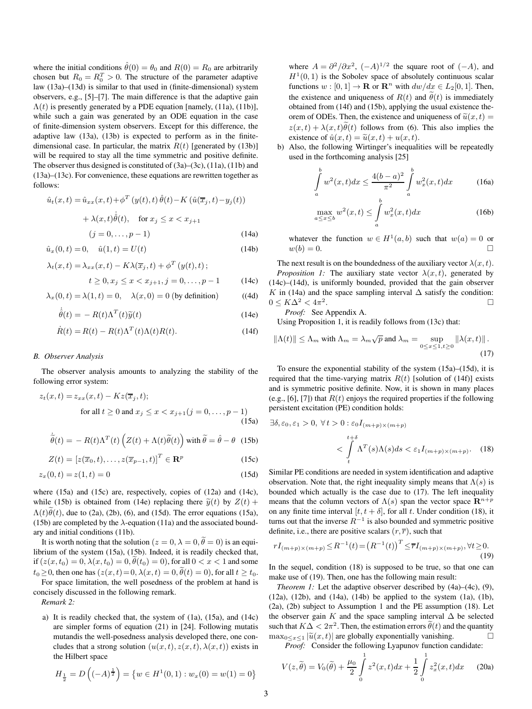where the initial conditions  $\hat{\theta}(0) = \theta_0$  and  $R(0) = R_0$  are arbitrarily chosen but  $R_0 = R_0^T > 0$ . The structure of the parameter adaptive law (13a)–(13d) is similar to that used in (finite-dimensional) system observers, e.g., [5]–[7]. The main difference is that the adaptive gain  $\Lambda(t)$  is presently generated by a PDE equation [namely, (11a), (11b)], while such a gain was generated by an ODE equation in the case of finite-dimension system observers. Except for this difference, the adaptive law (13a), (13b) is expected to perform as in the finitedimensional case. In particular, the matrix  $R(t)$  [generated by (13b)] will be required to stay all the time symmetric and positive definite. The observer thus designed is constituted of (3a)–(3c), (11a), (11b) and (13a)–(13c). For convenience, these equations are rewritten together as follows:

$$
\hat{u}_t(x,t) = \hat{u}_{xx}(x,t) + \phi^T \left( y(t),t \right) \hat{\theta}(t) - K \left( \hat{u}(\overline{x}_j, t) - y_j(t) \right)
$$

$$
+ \lambda(x,t) \dot{\hat{\theta}}(t), \quad \text{for } x_j \le x < x_{j+1}
$$

$$
(j = 0, \dots, p-1) \tag{14a}
$$

$$
\hat{u}_x(0,t) = 0, \quad \hat{u}(1,t) = U(t) \tag{14b}
$$

$$
\lambda_t(x,t) = \lambda_{xx}(x,t) - K\lambda(\overline{x}_j,t) + \phi^T(y(t),t) ;
$$
  

$$
t \ge 0, x_j \le x < x_{j+1}, j = 0, \dots, p-1
$$
 (14c)

$$
\lambda_x(0, t) = \lambda(1, t) = 0, \quad \lambda(x, 0) = 0 \text{ (by definition)} \tag{4d}
$$

$$
\dot{\hat{\theta}}(t) = -R(t)\Lambda^T(t)\tilde{y}(t)
$$
\n(14e)

$$
\dot{R}(t) = R(t) - R(t)\Lambda^T(t)\Lambda(t)R(t).
$$
\n(14f)

#### *B. Observer Analysis*

The observer analysis amounts to analyzing the stability of the following error system:

$$
z_t(x,t) = z_{xx}(x,t) - Kz(\overline{x}_j, t);
$$
  
for all  $t \ge 0$  and  $x_j \le x < x_{j+1}$   $(j = 0, \ldots, p-1)$  (15a)

$$
\dot{\tilde{\theta}}(t) = -R(t)\Lambda^T(t) \left( Z(t) + \Lambda(t)\tilde{\theta}(t) \right) \text{with } \tilde{\theta} = \hat{\theta} - \theta \quad (15b)
$$

$$
Z(t) = [z(\overline{x}_0, t), \dots, z(\overline{x}_{p-1}, t)]^T \in \mathbf{R}^p
$$
 (15c)

$$
z_x(0,t) = z(1,t) = 0 \tag{15d}
$$

where (15a) and (15c) are, respectively, copies of (12a) and (14c), while (15b) is obtained from (14e) replacing there  $\tilde{y}(t)$  by  $Z(t)$  +  $\Lambda(t)\dot{\theta}(t)$ , due to (2a), (2b), (6), and (15d). The error equations (15a), (15b) are completed by the  $\lambda$ -equation (11a) and the associated boundary and initial conditions (11b).

It is worth noting that the solution ( $z = 0, \lambda = 0, \tilde{\theta} = 0$ ) is an equilibrium of the system (15a), (15b). Indeed, it is readily checked that, if  $(z(x, t_0) = 0, \lambda(x, t_0) = 0, \dot{\theta}(t_0) = 0)$ , for all  $0 < x < 1$  and some  $t_0 \geq 0$ , then one has  $(z(x, t) = 0, \lambda(x, t) = 0, \tilde{\theta}(t) = 0)$ , for all  $t \geq t_0$ .

For space limitation, the well posedness of the problem at hand is concisely discussed in the following remark.

*Remark 2:*

a) It is readily checked that, the system of (1a), (15a), and (14c) are simpler forms of equation (21) in [24]. Following mutatis mutandis the well-posedness analysis developed there, one concludes that a strong solution  $(u(x,t), z(x,t), \lambda(x,t))$  exists in the Hilbert space

$$
H_{\frac{1}{2}} = D\left((-A)^{\frac{1}{2}}\right) = \{w \in H^1(0,1) : w_x(0) = w(1) = 0\}
$$

where  $A = \frac{\partial^2}{\partial x^2}$ ,  $(-A)^{1/2}$  the square root of  $(-A)$ , and  $H^1(0, 1)$  is the Sobolev space of absolutely continuous scalar functions  $w : [0, 1] \to \mathbf{R}$  or  $\mathbf{R}^n$  with  $dw/dx \in L_2[0, 1]$ . Then, the existence and uniqueness of  $R(t)$  and  $\theta(t)$  is immediately obtained from (14f) and (15b), applying the usual existence theorem of ODEs. Then, the existence and uniqueness of  $\tilde{u}(x, t) =$  $z(x, t) + \lambda(x, t)\theta(t)$  follows from (6). This also implies the existence of  $\hat{u}(x, t) = \tilde{u}(x, t) + u(x, t)$ .

b) Also, the following Wirtinger's inequalities will be repeatedly used in the forthcoming analysis [25]

$$
\int_{a}^{b} w^{2}(x,t)dx \le \frac{4(b-a)^{2}}{\pi^{2}} \int_{a}^{b} w_{x}^{2}(x,t)dx
$$
\n(16a)

$$
\max_{a \le x \le b} w^2(x, t) \le \int_a^b w_x^2(x, t) dx \tag{16b}
$$

whatever the function  $w \in H^1(a, b)$  such that  $w(a) = 0$  or  $w(b)=0.$ 

The next result is on the boundedness of the auxiliary vector  $\lambda(x, t)$ . *Proposition 1:* The auxiliary state vector  $\lambda(x, t)$ , generated by (14c)–(14d), is uniformly bounded, provided that the gain observer K in (14a) and the space sampling interval  $\Delta$  satisfy the condition:  $0 \leq K\Delta^2 < 4\pi^2$ . -

*Proof:* See Appendix A.

Using Proposition 1, it is readily follows from (13c) that:

$$
\|\Lambda(t)\| \le \Lambda_m \text{ with } \Lambda_m = \lambda_m \sqrt{p} \text{ and } \lambda_m = \sup_{0 \le x \le 1, t \ge 0} \|\lambda(x, t)\|.
$$
\n(17)

To ensure the exponential stability of the system (15a)–(15d), it is required that the time-varying matrix  $R(t)$  [solution of (14f)] exists and is symmetric positive definite. Now, it is shown in many places (e.g., [6], [7]) that  $R(t)$  enjoys the required properties if the following persistent excitation (PE) condition holds:

$$
\exists \delta, \varepsilon_0, \varepsilon_1 > 0, \ \forall \, t > 0 : \varepsilon_0 I_{(m+p)\times(m+p)} \tag{18}
$$
\n
$$
\langle \int\limits_t^{t+\delta} \Lambda^T(s)\Lambda(s)ds < \varepsilon_1 I_{(m+p)\times(m+p)}. \tag{18}
$$

Similar PE conditions are needed in system identification and adaptive observation. Note that, the right inequality simply means that  $\Lambda(s)$  is bounded which actually is the case due to (17). The left inequality means that the column vectors of  $\Lambda(s)$  span the vector space  $\mathbb{R}^{n+p}$ on any finite time interval  $[t, t + \delta]$ , for all t. Under condition (18), it turns out that the inverse  $R^{-1}$  is also bounded and symmetric positive definite, i.e., there are positive scalars  $(r, \overline{r})$ , such that

$$
rI_{(m+p)\times(m+p)} \leq R^{-1}(t) = (R^{-1}(t))^T \leq \overline{r}I_{(m+p)\times(m+p)}, \forall t \geq 0.
$$
\n(19)

In the sequel, condition (18) is supposed to be true, so that one can make use of (19). Then, one has the following main result:

*Theorem 1:* Let the adaptive observer described by  $(4a)–(4c)$ ,  $(9)$ , (12a), (12b), and (14a), (14b) be applied to the system (1a), (1b), (2a), (2b) subject to Assumption 1 and the PE assumption (18). Let the observer gain K and the space sampling interval  $\Delta$  be selected such that  $K\Delta < 2\pi^2$ . Then, the estimation errors  $\theta(t)$  and the quantity  $\max_{0 \le x \le 1} |\tilde{u}(x, t)|$  are globally exponentially vanishing.

*Proof:* Consider the following Lyapunov function candidate:

$$
V(z,\tilde{\theta}) = V_0(\tilde{\theta}) + \frac{\mu_0}{2} \int_0^1 z^2(x,t)dx + \frac{1}{2} \int_0^1 z_x^2(x,t)dx \qquad (20a)
$$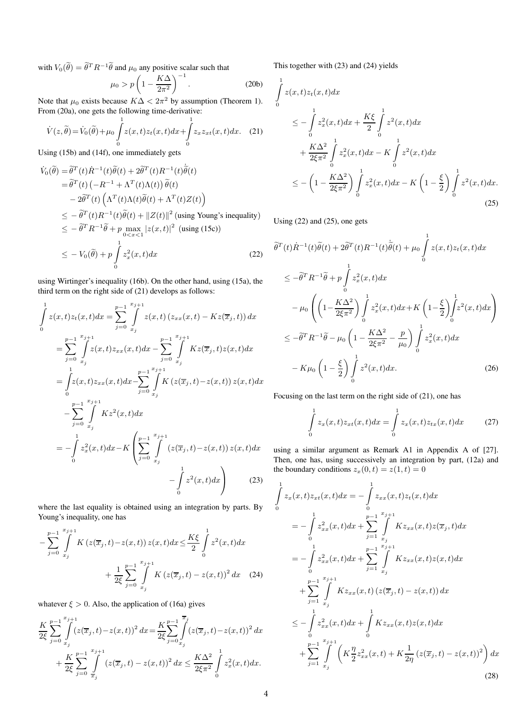with  $V_0(\theta) = \theta^T R^{-1} \theta$  and  $\mu_0$  any positive scalar such that

$$
\mu_0 > p \left( 1 - \frac{K\Delta}{2\pi^2} \right)^{-1} . \tag{20b}
$$

Note that  $\mu_0$  exists because  $K\Delta < 2\pi^2$  by assumption (Theorem 1). From (20a), one gets the following time-derivative:

$$
\dot{V}(z,\tilde{\theta}) = \dot{V}_0(\tilde{\theta}) + \mu_0 \int_0^1 z(x,t)z_t(x,t)dx + \int_0^1 z_x z_{xt}(x,t)dx.
$$
 (21)

Using (15b) and (14f), one immediately gets

$$
\dot{V}_0(\tilde{\theta}) = \tilde{\theta}^T(t)\dot{R}^{-1}(t)\tilde{\theta}(t) + 2\tilde{\theta}^T(t)R^{-1}(t)\dot{\tilde{\theta}}(t)
$$
\n
$$
= \tilde{\theta}^T(t) \left( -R^{-1} + \Lambda^T(t)\Lambda(t) \right) \tilde{\theta}(t)
$$
\n
$$
- 2\tilde{\theta}^T(t) \left( \Lambda^T(t)\Lambda(t)\tilde{\theta}(t) + \Lambda^T(t)Z(t) \right)
$$
\n
$$
\leq -\tilde{\theta}^T(t)R^{-1}(t)\tilde{\theta}(t) + ||Z(t)||^2 \text{ (using Young's inequality)}
$$
\n
$$
\leq -\tilde{\theta}^T R^{-1}\tilde{\theta} + p \max_{0 \leq x \leq 1} |z(x, t)|^2 \text{ (using (15c))}
$$
\n
$$
\leq -V_0(\tilde{\theta}) + p \int_0^1 z_x^2(x, t) dx \qquad (22)
$$

using Wirtinger's inequality (16b). On the other hand, using (15a), the third term on the right side of (21) develops as follows:

$$
\int_{0}^{1} z(x,t)z_{t}(x,t)dx = \sum_{j=0}^{p-1} \int_{x_{j}}^{x_{j+1}} z(x,t) (z_{xx}(x,t) - Kz(\overline{x}_{j},t)) dx
$$
\n
$$
= \sum_{j=0}^{p-1} \int_{x_{j}}^{x_{j+1}} z(x,t)z_{xx}(x,t)dx - \sum_{j=0}^{p-1} \int_{x_{j}}^{x_{j+1}} Kz(\overline{x}_{j},t)z(x,t)dx
$$
\n
$$
= \int_{0}^{1} z(x,t)z_{xx}(x,t)dx - \sum_{j=0}^{p-1} \int_{x_{j}}^{x_{j+1}} K(z(\overline{x}_{j},t) - z(x,t)) z(x,t)dx
$$
\n
$$
- \sum_{j=0}^{p-1} \int_{x_{j}}^{x_{j+1}} Kz^{2}(x,t)dx
$$
\n
$$
= - \int_{0}^{1} z_{x}^{2}(x,t)dx - K \left( \sum_{j=0}^{p-1} \int_{x_{j}}^{x_{j+1}} (z(\overline{x}_{j},t) - z(x,t)) z(x,t)dx - \int_{0}^{1} z^{2}(x,t)dx \right)
$$
\n(23)

where the last equality is obtained using an integration by parts. By Young's inequality, one has

$$
-\sum_{j=0}^{p-1} \int_{x_j}^{x_{j+1}} K\left(z(\overline{x}_j, t) - z(x, t)\right) z(x, t) dx \le \frac{K\xi}{2} \int_0^1 z^2(x, t) dx + \frac{1}{2\xi} \sum_{j=0}^{p-1} \int_{x_j}^{x_{j+1}} K\left(z(\overline{x}_j, t) - z(x, t)\right)^2 dx \quad (24)
$$

whatever  $\xi > 0$ . Also, the application of (16a) gives

$$
\frac{K}{2\xi} \sum_{j=0}^{p-1} \int_{x_j}^{x_{j+1}} (z(\overline{x}_j, t) - z(x, t))^2 dx = \frac{K}{2\xi} \sum_{j=0}^{p-1} \int_{x_j}^{\overline{x}_j} (z(\overline{x}_j, t) - z(x, t))^2 dx \n+ \frac{K}{2\xi} \sum_{j=0}^{p-1} \int_{\overline{x}_j}^{x_{j+1}} (z(\overline{x}_j, t) - z(x, t))^2 dx \le \frac{K\Delta^2}{2\xi\pi^2} \int_{0}^{1} z_x^2(x, t) dx.
$$

This together with (23) and (24) yields

$$
\int_{0}^{1} z(x,t)z_{t}(x,t)dx
$$
\n
$$
\leq -\int_{0}^{1} z_{x}^{2}(x,t)dx + \frac{K\xi}{2} \int_{0}^{1} z^{2}(x,t)dx + \frac{K\Delta^{2}}{2\xi\pi^{2}} \int_{0}^{1} z_{x}^{2}(x,t)dx - K \int_{0}^{1} z^{2}(x,t)dx
$$
\n
$$
\leq -\left(1 - \frac{K\Delta^{2}}{2\xi\pi^{2}}\right) \int_{0}^{1} z_{x}^{2}(x,t)dx - K\left(1 - \frac{\xi}{2}\right) \int_{0}^{1} z^{2}(x,t)dx.
$$
\n(25)

Using (22) and (25), one gets

$$
\tilde{\theta}^{T}(t)\dot{R}^{-1}(t)\tilde{\theta}(t) + 2\tilde{\theta}^{T}(t)R^{-1}(t)\dot{\tilde{\theta}}(t) + \mu_{0} \int_{0}^{1} z(x,t)z_{t}(x,t)dx
$$
\n
$$
\leq -\tilde{\theta}^{T}R^{-1}\tilde{\theta} + p \int_{0}^{1} z_{x}^{2}(x,t)dx
$$
\n
$$
-\mu_{0} \left( \left(1 - \frac{K\Delta^{2}}{2\xi\pi^{2}}\right) \int_{0}^{1} z_{x}^{2}(x,t)dx + K\left(1 - \frac{\xi}{2}\right) \int_{0}^{1} z^{2}(x,t)dx \right)
$$
\n
$$
\leq -\tilde{\theta}^{T}R^{-1}\tilde{\theta} - \mu_{0} \left(1 - \frac{K\Delta^{2}}{2\xi\pi^{2}} - \frac{p}{\mu_{0}}\right) \int_{0}^{1} z_{x}^{2}(x,t)dx
$$
\n
$$
-K\mu_{0} \left(1 - \frac{\xi}{2}\right) \int_{0}^{1} z^{2}(x,t)dx. \tag{26}
$$

Focusing on the last term on the right side of (21), one has

$$
\int_{0}^{1} z_x(x,t) z_{xt}(x,t) dx = \int_{0}^{1} z_x(x,t) z_{tx}(x,t) dx \qquad (27)
$$

using a similar argument as Remark A1 in Appendix A of [27]. Then, one has, using successively an integration by part, (12a) and the boundary conditions  $z_x(0, t) = z(1, t) = 0$ 

$$
\int_{0}^{1} z_{x}(x,t) z_{xt}(x,t) dx = -\int_{0}^{1} z_{xx}(x,t) z_{t}(x,t) dx
$$
\n
$$
= -\int_{0}^{1} z_{xx}^{2}(x,t) dx + \sum_{j=1}^{p-1} \int_{x_{j}}^{x_{j+1}} K z_{xx}(x,t) z(\overline{x}_{j},t) dx
$$
\n
$$
= -\int_{0}^{1} z_{xx}^{2}(x,t) dx + \sum_{j=1}^{p-1} \int_{x_{j}}^{x_{j+1}} K z_{xx}(x,t) z(x,t) dx
$$
\n
$$
+ \sum_{j=1}^{p-1} \int_{x_{j}}^{x_{j+1}} K z_{xx}(x,t) (z(\overline{x}_{j},t) - z(x,t)) dx
$$
\n
$$
\leq -\int_{0}^{1} z_{xx}^{2}(x,t) dx + \int_{0}^{1} K z_{xx}(x,t) z(x,t) dx
$$
\n
$$
+ \sum_{j=1}^{p-1} \int_{x_{j}}^{x_{j+1}} \left( K \frac{\eta}{2} z_{xx}^{2}(x,t) + K \frac{1}{2\eta} (z(\overline{x}_{j},t) - z(x,t))^{2} \right) dx
$$
\n(28)

-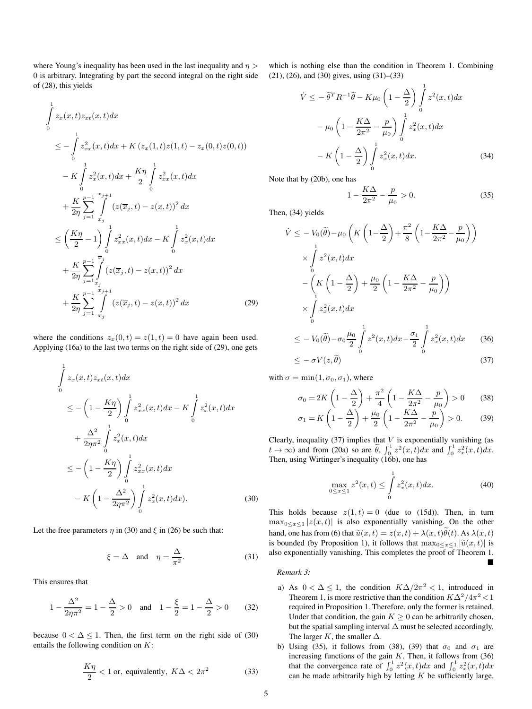where Young's inequality has been used in the last inequality and  $\eta$ 0 is arbitrary. Integrating by part the second integral on the right side of (28), this yields

$$
\int_{0}^{1} z_{x}(x,t)z_{xt}(x,t)dx
$$
\n
$$
\leq -\int_{0}^{1} z_{xx}^{2}(x,t)dx + K(z_{x}(1,t)z(1,t) - z_{x}(0,t)z(0,t))
$$
\n
$$
-K \int_{0}^{1} z_{x}^{2}(x,t)dx + \frac{K\eta}{2} \int_{0}^{1} z_{xx}^{2}(x,t)dx
$$
\n
$$
+ \frac{K}{2\eta} \sum_{j=1}^{p-1} \int_{x_{j}}^{x_{j+1}} (z(\overline{x}_{j},t) - z(x,t))^{2} dx
$$
\n
$$
\leq \left(\frac{K\eta}{2} - 1\right) \int_{0}^{1} z_{xx}^{2}(x,t)dx - K \int_{0}^{1} z_{x}^{2}(x,t)dx
$$
\n
$$
+ \frac{K}{2\eta} \sum_{j=1}^{p-1} \int_{x_{j}}^{x_{j}} (z(\overline{x}_{j},t) - z(x,t))^{2} dx
$$
\n
$$
+ \frac{K}{2\eta} \sum_{j=1}^{p-1} \int_{\overline{x}_{j}}^{x_{j+1}} (z(\overline{x}_{j},t) - z(x,t))^{2} dx
$$
\n(29)

where the conditions  $z_x(0, t) = z(1, t) = 0$  have again been used. Applying (16a) to the last two terms on the right side of (29), one gets

$$
\int_{0}^{1} z_{x}(x, t) z_{xt}(x, t) dx
$$
\n
$$
\leq -\left(1 - \frac{K\eta}{2}\right) \int_{0}^{1} z_{xx}^{2}(x, t) dx - K \int_{0}^{1} z_{x}^{2}(x, t) dx
$$
\n
$$
+ \frac{\Delta^{2}}{2\eta \pi^{2}} \int_{0}^{1} z_{x}^{2}(x, t) dx
$$
\n
$$
\leq -\left(1 - \frac{K\eta}{2}\right) \int_{0}^{1} z_{xx}^{2}(x, t) dx
$$
\n
$$
- K \left(1 - \frac{\Delta^{2}}{2\eta \pi^{2}}\right) \int_{0}^{1} z_{x}^{2}(x, t) dx. \tag{30}
$$

Let the free parameters  $\eta$  in (30) and  $\xi$  in (26) be such that:

$$
\xi = \Delta \quad \text{and} \quad \eta = \frac{\Delta}{\pi^2}.
$$
 (31)

This ensures that

$$
1 - \frac{\Delta^2}{2\eta \pi^2} = 1 - \frac{\Delta}{2} > 0 \quad \text{and} \quad 1 - \frac{\xi}{2} = 1 - \frac{\Delta}{2} > 0 \tag{32}
$$

because  $0 < \Delta \le 1$ . Then, the first term on the right side of (30) entails the following condition on K:

$$
\frac{K\eta}{2} < 1 \text{ or, equivalently, } K\Delta < 2\pi^2 \tag{33}
$$

which is nothing else than the condition in Theorem 1. Combining (21), (26), and (30) gives, using (31)–(33)

$$
\dot{V} \leq -\tilde{\theta}^T R^{-1} \tilde{\theta} - K\mu_0 \left(1 - \frac{\Delta}{2}\right) \int_0^1 z^2(x, t) dx
$$

$$
-\mu_0 \left(1 - \frac{K\Delta}{2\pi^2} - \frac{p}{\mu_0}\right) \int_0^1 z_x^2(x, t) dx
$$

$$
-K\left(1 - \frac{\Delta}{2}\right) \int_0^1 z_x^2(x, t) dx. \tag{34}
$$

Note that by (20b), one has

$$
1 - \frac{K\Delta}{2\pi^2} - \frac{p}{\mu_0} > 0.
$$
 (35)

Then, (34) yields

$$
\dot{V} \leq -V_0(\tilde{\theta}) - \mu_0 \left( K \left( 1 - \frac{\Delta}{2} \right) + \frac{\pi^2}{8} \left( 1 - \frac{K\Delta}{2\pi^2} - \frac{p}{\mu_0} \right) \right)
$$
\n
$$
\times \int_0^1 z^2(x, t) dx
$$
\n
$$
- \left( K \left( 1 - \frac{\Delta}{2} \right) + \frac{\mu_0}{2} \left( 1 - \frac{K\Delta}{2\pi^2} - \frac{p}{\mu_0} \right) \right)
$$
\n
$$
\times \int_0^1 z_x^2(x, t) dx
$$
\n
$$
\leq -V_0(\tilde{\theta}) - \sigma_0 \frac{\mu_0}{2} \int_0^1 z^2(x, t) dx - \frac{\sigma_1}{2} \int_0^1 z_x^2(x, t) dx \qquad (36)
$$
\n
$$
\leq -\sigma V(z, \tilde{\theta}) \qquad (37)
$$

with  $\sigma = \min(1, \sigma_0, \sigma_1)$ , where

$$
\sigma_0 = 2K\left(1 - \frac{\Delta}{2}\right) + \frac{\pi^2}{4}\left(1 - \frac{K\Delta}{2\pi^2} - \frac{p}{\mu_0}\right) > 0 \quad (38)
$$
  

$$
\sigma_1 = K\left(1 - \frac{\Delta}{2}\right) + \frac{\mu_0}{2}\left(1 - \frac{K\Delta}{2\pi^2} - \frac{p}{\mu_0}\right) > 0. \quad (39)
$$

Clearly, inequality (37) implies that  $V$  is exponentially vanishing (as  $t \to \infty$ ) and from (20a) so are  $\tilde{\theta}$ ,  $\int_0^1 z^2(x,t)dx$  and  $\int_0^1 z_x^2(x,t)dx$ . Then, using Wirtinger's inequality (16b), one has

$$
\max_{0 \le x \le 1} z^2(x, t) \le \int_0^1 z_x^2(x, t) dx.
$$
 (40)

 $\blacksquare$ 

This holds because  $z(1, t) = 0$  (due to (15d)). Then, in turn  $\max_{0 \le x \le 1} |z(x, t)|$  is also exponentially vanishing. On the other hand, one has from (6) that  $\tilde{u}(x, t) = z(x, t) + \lambda(x, t)\tilde{\theta}(t)$ . As  $\lambda(x, t)$ is bounded (by Proposition 1), it follows that  $\max_{0 \le x \le 1} |\widetilde{u}(x, t)|$  is also exponentially vanishing. This completes the proof of Theorem 1.

#### *Remark 3:*

- a) As  $0 < \Delta \leq 1$ , the condition  $K\Delta/2\pi^2 < 1$ , introduced in Theorem 1, is more restrictive than the condition  $K\Delta^2/4\pi^2 < 1$ required in Proposition 1. Therefore, only the former is retained. Under that condition, the gain  $K \geq 0$  can be arbitrarily chosen, but the spatial sampling interval  $\Delta$  must be selected accordingly. The larger  $K$ , the smaller  $\Delta$ .
- b) Using (35), it follows from (38), (39) that  $\sigma_0$  and  $\sigma_1$  are increasing functions of the gain  $K$ . Then, it follows from  $(36)$ that the convergence rate of  $\int_0^1 z^2(x,t)dx$  and  $\int_0^1 z^2(x,t)dx$ can be made arbitrarily high by letting  $K$  be sufficiently large.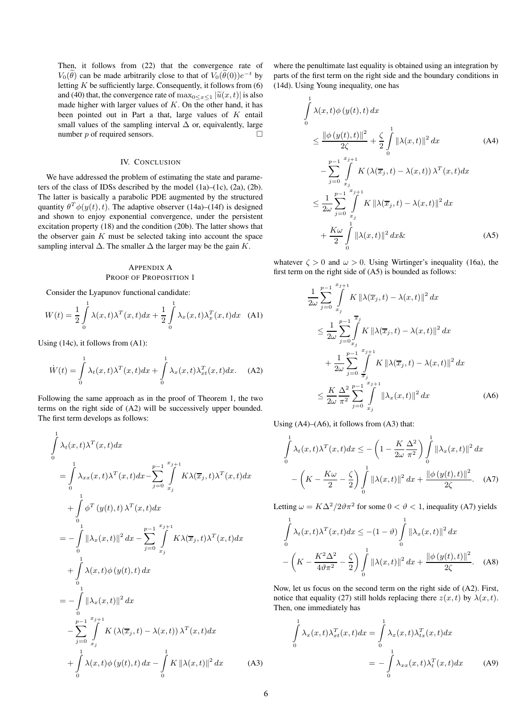Then, it follows from (22) that the convergence rate of  $V_0(\theta)$  can be made arbitrarily close to that of  $V_0(\theta(0))e^{-t}$  by letting  $K$  be sufficiently large. Consequently, it follows from  $(6)$ and (40) that, the convergence rate of  $\max_{0 \le x \le 1} |\tilde{u}(x, t)|$  is also made higher with larger values of  $K$ . On the other hand, it has been pointed out in Part a that, large values of  $K$  entail small values of the sampling interval  $\Delta$  or, equivalently, large number  $p$  of required sensors.  $\Box$ 

#### IV. CONCLUSION

We have addressed the problem of estimating the state and parameters of the class of IDSs described by the model (1a)–(1c), (2a), (2b). The latter is basically a parabolic PDE augmented by the structured quantity  $\theta^T \phi(y(t), t)$ . The adaptive observer (14a)–(14f) is designed and shown to enjoy exponential convergence, under the persistent excitation property (18) and the condition (20b). The latter shows that the observer gain  $K$  must be selected taking into account the space sampling interval  $\Delta$ . The smaller  $\Delta$  the larger may be the gain K.

### APPENDIX A PROOF OF PROPOSITION 1

Consider the Lyapunov functional candidate:

$$
W(t) = \frac{1}{2} \int_{0}^{1} \lambda(x, t) \lambda^{T}(x, t) dx + \frac{1}{2} \int_{0}^{1} \lambda_{x}(x, t) \lambda_{x}^{T}(x, t) dx \quad (A1)
$$

Using (14c), it follows from (A1):

 $\overline{1}$ 

$$
\dot{W}(t) = \int_{0}^{1} \lambda_t(x, t) \lambda^T(x, t) dx + \int_{0}^{1} \lambda_x(x, t) \lambda^T_{xt}(x, t) dx.
$$
 (A2)

Following the same approach as in the proof of Theorem 1, the two terms on the right side of (A2) will be successively upper bounded. The first term develops as follows:

$$
\int_{0}^{1} \lambda_{t}(x,t)\lambda^{T}(x,t)dx
$$
\n
$$
= \int_{0}^{1} \lambda_{xx}(x,t)\lambda^{T}(x,t)dx - \sum_{j=0}^{p-1} \int_{x_{j}}^{x_{j+1}} K\lambda(\overline{x}_{j},t)\lambda^{T}(x,t)dx
$$
\n
$$
+ \int_{0}^{1} \phi^{T}(y(t),t)\lambda^{T}(x,t)dx
$$
\n
$$
= -\int_{0}^{1} ||\lambda_{x}(x,t)||^{2} dx - \sum_{j=0}^{p-1} \int_{x_{j}}^{x_{j+1}} K\lambda(\overline{x}_{j},t)\lambda^{T}(x,t)dx
$$
\n
$$
+ \int_{0}^{1} \lambda(x,t)\phi(y(t),t) dx
$$
\n
$$
= -\int_{0}^{1} ||\lambda_{x}(x,t)||^{2} dx
$$
\n
$$
- \sum_{j=0}^{p-1} \int_{x_{j}}^{x_{j+1}} K(\lambda(\overline{x}_{j},t) - \lambda(x,t))\lambda^{T}(x,t)dx
$$
\n
$$
+ \int_{0}^{1} \lambda(x,t)\phi(y(t),t) dx - \int_{0}^{1} K ||\lambda(x,t)||^{2} dx \qquad (A3)
$$

where the penultimate last equality is obtained using an integration by parts of the first term on the right side and the boundary conditions in (14d). Using Young inequality, one has

$$
\int_{0}^{1} \lambda(x,t)\phi(y(t),t) dx
$$
\n
$$
\leq \frac{\|\phi(y(t),t)\|^{2}}{2\zeta} + \frac{\zeta}{2} \int_{0}^{1} \|\lambda(x,t)\|^{2} dx \qquad (A4)
$$
\n
$$
- \sum_{j=0}^{p-1} \int_{x_{j}}^{x_{j+1}} K\left(\lambda(\overline{x}_{j},t) - \lambda(x,t)\right) \lambda^{T}(x,t) dx
$$
\n
$$
\leq \frac{1}{2\omega} \sum_{j=0}^{p-1} \int_{x_{j}}^{x_{j+1}} K \|\lambda(\overline{x}_{j},t) - \lambda(x,t)\|^{2} dx
$$
\n
$$
+ \frac{K\omega}{2} \int_{0}^{1} \|\lambda(x,t)\|^{2} dx \& \qquad (A5)
$$

whatever  $\zeta > 0$  and  $\omega > 0$ . Using Wirtinger's inequality (16a), the first term on the right side of (A5) is bounded as follows:

$$
\frac{1}{2\omega} \sum_{j=0}^{p-1} \int_{x_j}^{x_{j+1}} K \|\lambda(\overline{x}_j, t) - \lambda(x, t)\|^2 dx
$$
\n
$$
\leq \frac{1}{2\omega} \sum_{j=0}^{p-1} \int_{x_j}^{\overline{x}_j} K \|\lambda(\overline{x}_j, t) - \lambda(x, t)\|^2 dx
$$
\n
$$
+ \frac{1}{2\omega} \sum_{j=0}^{p-1} \int_{\overline{x}_j}^{x_{j+1}} K \|\lambda(\overline{x}_j, t) - \lambda(x, t)\|^2 dx
$$
\n
$$
\leq \frac{K}{2\omega} \frac{\Delta^2}{\pi^2} \sum_{j=0}^{p-1} \int_{x_j}^{x_{j+1}} \|\lambda_x(x, t)\|^2 dx \tag{A6}
$$

Using (A4)–(A6), it follows from (A3) that:

$$
\int_{0}^{1} \lambda_t(x,t) \lambda^T(x,t) dx \leq -\left(1 - \frac{K}{2\omega} \frac{\Delta^2}{\pi^2}\right) \int_{0}^{1} \left\|\lambda_x(x,t)\right\|^2 dx
$$

$$
-\left(K - \frac{K\omega}{2} - \frac{\zeta}{2}\right) \int_{0}^{1} \left\|\lambda(x,t)\right\|^2 dx + \frac{\left\|\phi\left(y(t),t\right)\right\|^2}{2\zeta}.\tag{A7}
$$

Letting  $\omega = K\Delta^2/2\vartheta \pi^2$  for some  $0 < \vartheta < 1$ , inequality (A7) yields

$$
\int_{0}^{1} \lambda_t(x,t) \lambda^T(x,t) dx \le -(1-\vartheta) \int_{0}^{1} ||\lambda_x(x,t)||^2 dx
$$

$$
-\left(K - \frac{K^2 \Delta^2}{4\vartheta \pi^2} - \frac{\zeta}{2}\right) \int_{0}^{1} ||\lambda(x,t)||^2 dx + \frac{||\phi(y(t),t)||^2}{2\zeta}.
$$
 (A8)

Now, let us focus on the second term on the right side of (A2). First, notice that equality (27) still holds replacing there  $z(x, t)$  by  $\lambda(x, t)$ . Then, one immediately has

$$
\int_{0}^{1} \lambda_{x}(x,t) \lambda_{xt}^{T}(x,t) dx = \int_{0}^{1} \lambda_{x}(x,t) \lambda_{tx}^{T}(x,t) dx
$$
\n
$$
= -\int_{0}^{1} \lambda_{xx}(x,t) \lambda_{t}^{T}(x,t) dx \qquad (A9)
$$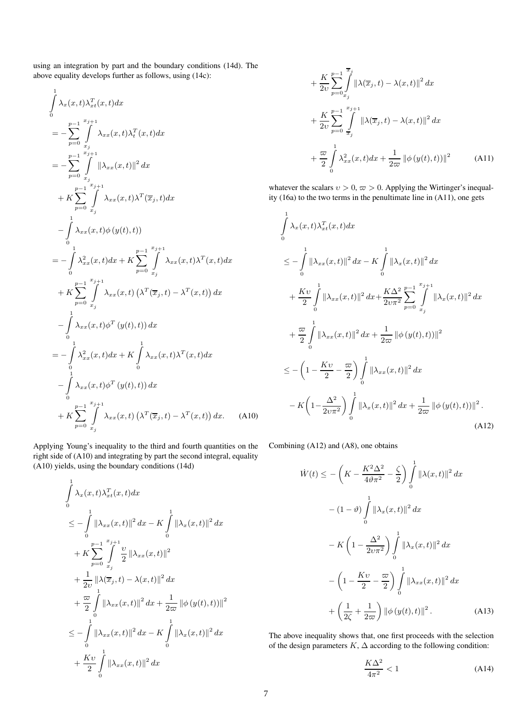using an integration by part and the boundary conditions (14d). The above equality develops further as follows, using (14c):

$$
\int_{0}^{1} \lambda_{x}(x,t) \lambda_{xt}^{T}(x,t) dx
$$
\n
$$
= -\sum_{p=0}^{p-1} \int_{x_{j}}^{x_{j+1}} \lambda_{xx}(x,t) \lambda_{t}^{T}(x,t) dx
$$
\n
$$
= -\sum_{p=0}^{p-1} \int_{x_{j}}^{x_{j+1}} ||\lambda_{xx}(x,t)||^{2} dx
$$
\n
$$
+ K \sum_{p=0}^{p-1} \int_{x_{j}}^{x_{j+1}} \lambda_{xx}(x,t) \lambda^{T}(\overline{x}_{j},t) dx
$$
\n
$$
- \int_{0}^{1} \lambda_{xx}(x,t) \phi(y(t),t) du
$$
\n
$$
= -\int_{0}^{1} \lambda_{xx}^{2}(x,t) dx + K \sum_{p=0}^{p-1} \int_{x_{j}}^{x_{j+1}} \lambda_{xx}(x,t) \lambda^{T}(x,t) dx
$$
\n
$$
+ K \sum_{p=0}^{p-1} \int_{x_{j}}^{x_{j+1}} \lambda_{xx}(x,t) (\lambda^{T}(\overline{x}_{j},t) - \lambda^{T}(x,t)) dx
$$
\n
$$
- \int_{0}^{1} \lambda_{xx}(x,t) \phi^{T}(y(t),t) dx
$$
\n
$$
= -\int_{0}^{1} \lambda_{xx}^{2}(x,t) dx + K \int_{0}^{1} \lambda_{xx}(x,t) \lambda^{T}(x,t) dx
$$
\n
$$
- \int_{0}^{1} \lambda_{xx}(x,t) \phi^{T}(y(t),t) dx
$$
\n
$$
+ K \sum_{p=0}^{p-1} \int_{x_{j}}^{x_{j+1}} \lambda_{xx}(x,t) (\lambda^{T}(\overline{x}_{j},t) - \lambda^{T}(x,t)) dx.
$$
\n(A10)

Applying Young's inequality to the third and fourth quantities on the right side of (A10) and integrating by part the second integral, equality (A10) yields, using the boundary conditions (14d)

$$
\int_{0}^{1} \lambda_{x}(x,t) \lambda_{xt}^{T}(x,t) dx
$$
\n
$$
\leq -\int_{0}^{1} \left\| \lambda_{xx}(x,t) \right\|^{2} dx - K \int_{0}^{1} \left\| \lambda_{x}(x,t) \right\|^{2} dx
$$
\n
$$
+ K \sum_{p=0}^{p-1} \int_{x_{j}}^{x_{j+1}} \frac{v}{2} \left\| \lambda_{xx}(x,t) \right\|^{2}
$$
\n
$$
+ \frac{1}{2v} \left\| \lambda(\overline{x}_{j},t) - \lambda(x,t) \right\|^{2} dx
$$
\n
$$
+ \frac{\varpi}{2} \int_{0}^{1} \left\| \lambda_{xx}(x,t) \right\|^{2} dx + \frac{1}{2\varpi} \left\| \phi(y(t),t) \right\|^{2}
$$
\n
$$
\leq -\int_{0}^{1} \left\| \lambda_{xx}(x,t) \right\|^{2} dx - K \int_{0}^{1} \left\| \lambda_{x}(x,t) \right\|^{2} dx
$$
\n
$$
+ \frac{Kv}{2} \int_{0}^{1} \left\| \lambda_{xx}(x,t) \right\|^{2} dx
$$

$$
+\frac{K}{2v} \sum_{p=0}^{p-1} \int_{x_j}^{\overline{x}_j} \|\lambda(\overline{x}_j, t) - \lambda(x, t)\|^2 dx + \frac{K}{2v} \sum_{p=0}^{p-1} \int_{\overline{x}_j}^{x_{j+1}} \|\lambda(\overline{x}_j, t) - \lambda(x, t)\|^2 dx + \frac{\overline{\omega}}{2} \int_{0}^{1} \lambda_{xx}^2(x, t) dx + \frac{1}{2\overline{\omega}} \|\phi(y(t), t)\|^2
$$
 (A11)

whatever the scalars  $v > 0$ ,  $\varpi > 0$ . Applying the Wirtinger's inequality (16a) to the two terms in the penultimate line in (A11), one gets

$$
\int_{0}^{1} \lambda_{x}(x,t) \lambda_{xt}^{T}(x,t) dx
$$
\n
$$
\leq -\int_{0}^{1} \|\lambda_{xx}(x,t)\|^{2} dx - K \int_{0}^{1} \|\lambda_{x}(x,t)\|^{2} dx
$$
\n
$$
+ \frac{Kv}{2} \int_{0}^{1} \|\lambda_{xx}(x,t)\|^{2} dx + \frac{K\Delta^{2}}{2v\pi^{2}} \sum_{p=0}^{p-1} \int_{x_{j}}^{x_{j+1}} \|\lambda_{x}(x,t)\|^{2} dx
$$
\n
$$
+ \frac{\omega}{2} \int_{0}^{1} \|\lambda_{xx}(x,t)\|^{2} dx + \frac{1}{2\omega} \|\phi(y(t),t)\|^{2}
$$
\n
$$
\leq -\left(1 - \frac{Kv}{2} - \frac{\omega}{2}\right) \int_{0}^{1} \|\lambda_{xx}(x,t)\|^{2} dx
$$
\n
$$
-K\left(1 - \frac{\Delta^{2}}{2v\pi^{2}}\right) \int_{0}^{1} \|\lambda_{x}(x,t)\|^{2} dx + \frac{1}{2\omega} \|\phi(y(t),t)\|^{2}.
$$
\n(A12)

Combining (A12) and (A8), one obtains

$$
\dot{W}(t) \leq -\left(K - \frac{K^2 \Delta^2}{4\theta \pi^2} - \frac{\zeta}{2}\right) \int_0^1 \|\lambda(x, t)\|^2 dx
$$

$$
- (1 - \vartheta) \int_0^1 \|\lambda_x(x, t)\|^2 dx
$$

$$
- K \left(1 - \frac{\Delta^2}{2\upsilon \pi^2}\right) \int_0^1 \|\lambda_x(x, t)\|^2 dx
$$

$$
- \left(1 - \frac{K\upsilon}{2} - \frac{\varpi}{2}\right) \int_0^1 \|\lambda_{xx}(x, t)\|^2 dx
$$

$$
+ \left(\frac{1}{2\zeta} + \frac{1}{2\varpi}\right) \|\phi\left(y(t), t\right)\|^2. \tag{A13}
$$

The above inequality shows that, one first proceeds with the selection of the design parameters  $K$ ,  $\Delta$  according to the following condition:

$$
\frac{K\Delta^2}{4\pi^2} < 1\tag{A14}
$$